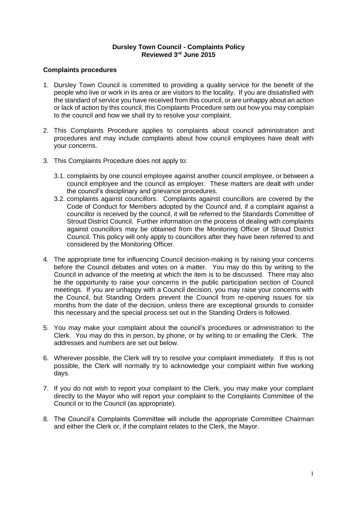### **Dursley Town Council - Complaints Policy Reviewed 3 rd June 2015**

## **Complaints procedures**

- 1. Dursley Town Council is committed to providing a quality service for the benefit of the people who live or work in its area or are visitors to the locality. If you are dissatisfied with the standard of service you have received from this council, or are unhappy about an action or lack of action by this council, this Complaints Procedure sets out how you may complain to the council and how we shall try to resolve your complaint.
- 2. This Complaints Procedure applies to complaints about council administration and procedures and may include complaints about how council employees have dealt with your concerns.
- 3. This Complaints Procedure does not apply to:
	- 3.1. complaints by one council employee against another council employee, or between a council employee and the council as employer. These matters are dealt with under the council's disciplinary and grievance procedures.
	- 3.2. complaints against councillors. Complaints against councillors are covered by the Code of Conduct for Members adopted by the Council and, if a complaint against a councillor is received by the council, it will be referred to the Standards Committee of Stroud District Council. Further information on the process of dealing with complaints against councillors may be obtained from the Monitoring Officer of Stroud District Council. This policy will only apply to councillors after they have been referred to and considered by the Monitoring Officer.
- 4. The appropriate time for influencing Council decision-making is by raising your concerns before the Council debates and votes on a matter. You may do this by writing to the Council in advance of the meeting at which the item is to be discussed. There may also be the opportunity to raise your concerns in the public participation section of Council meetings. If you are unhappy with a Council decision, you may raise your concerns with the Council, but Standing Orders prevent the Council from re-opening issues for six months from the date of the decision, unless there are exceptional grounds to consider this necessary and the special process set out in the Standing Orders is followed.
- 5. You may make your complaint about the council's procedures or administration to the Clerk. You may do this in person, by phone, or by writing to or emailing the Clerk. The addresses and numbers are set out below.
- 6. Wherever possible, the Clerk will try to resolve your complaint immediately. If this is not possible, the Clerk will normally try to acknowledge your complaint within five working days.
- 7. If you do not wish to report your complaint to the Clerk, you may make your complaint directly to the Mayor who will report your complaint to the Complaints Committee of the Council or to the Council (as appropriate).
- 8. The Council's Complaints Committee will include the appropriate Committee Chairman and either the Clerk or, if the complaint relates to the Clerk, the Mayor.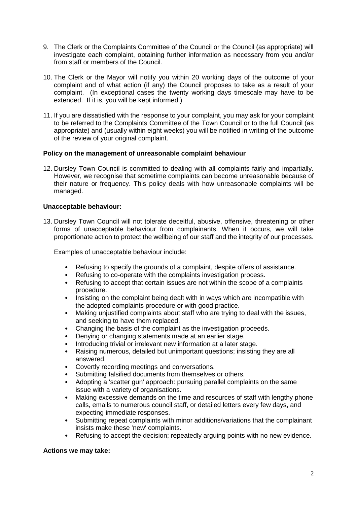- 9. The Clerk or the Complaints Committee of the Council or the Council (as appropriate) will investigate each complaint, obtaining further information as necessary from you and/or from staff or members of the Council.
- 10. The Clerk or the Mayor will notify you within 20 working days of the outcome of your complaint and of what action (if any) the Council proposes to take as a result of your complaint. (In exceptional cases the twenty working days timescale may have to be extended. If it is, you will be kept informed.)
- 11. If you are dissatisfied with the response to your complaint, you may ask for your complaint to be referred to the Complaints Committee of the Town Council or to the full Council (as appropriate) and (usually within eight weeks) you will be notified in writing of the outcome of the review of your original complaint.

## **Policy on the management of unreasonable complaint behaviour**

12. Dursley Town Council is committed to dealing with all complaints fairly and impartially. However, we recognise that sometime complaints can become unreasonable because of their nature or frequency. This policy deals with how unreasonable complaints will be managed.

# **Unacceptable behaviour:**

13. Dursley Town Council will not tolerate deceitful, abusive, offensive, threatening or other forms of unacceptable behaviour from complainants. When it occurs, we will take proportionate action to protect the wellbeing of our staff and the integrity of our processes.

Examples of unacceptable behaviour include:

- Refusing to specify the grounds of a complaint, despite offers of assistance.
- Refusing to co-operate with the complaints investigation process.
- Refusing to accept that certain issues are not within the scope of a complaints procedure.
- Insisting on the complaint being dealt with in ways which are incompatible with the adopted complaints procedure or with good practice.
- Making unjustified complaints about staff who are trying to deal with the issues, and seeking to have them replaced.
- Changing the basis of the complaint as the investigation proceeds.
- Denying or changing statements made at an earlier stage.
- Introducing trivial or irrelevant new information at a later stage.
- Raising numerous, detailed but unimportant questions; insisting they are all answered.
- Covertly recording meetings and conversations.
- Submitting falsified documents from themselves or others.
- Adopting a 'scatter gun' approach: pursuing parallel complaints on the same issue with a variety of organisations.
- Making excessive demands on the time and resources of staff with lengthy phone calls, emails to numerous council staff, or detailed letters every few days, and expecting immediate responses.
- Submitting repeat complaints with minor additions/variations that the complainant insists make these 'new' complaints.
- Refusing to accept the decision; repeatedly arguing points with no new evidence.

#### **Actions we may take:**